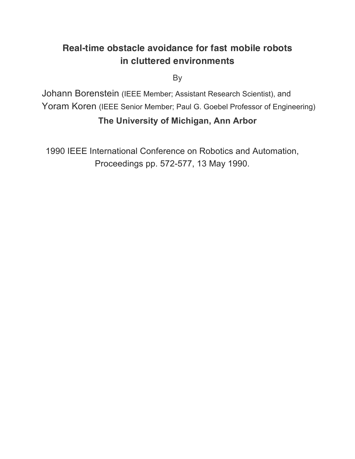# **Real-time obstacle avoidance for fast mobile robots in cluttered environments**

By

Johann Borenstein (IEEE Member; Assistant Research Scientist), and Yoram Koren (IEEE Senior Member; Paul G. Goebel Professor of Engineering)

# **The University of Michigan, Ann Arbor**

1990 IEEE International Conference on Robotics and Automation, Proceedings pp. 572-577, 13 May 1990.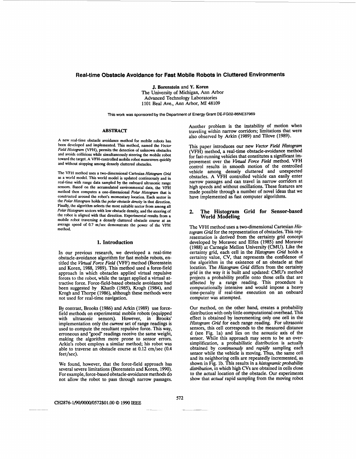# **Real-time Obstacle Avoidance for Fast Mobile Robots in Cluttered Environments**

J. **Borenstein** and **Y.** Koren The University of Michigan, *Ann* Arbor Advanced Technology Laboratories 1101 Bed Ave., *Ann* Arbor, MI 48109

**This work was sponsored by the Department of Energy Grant DE-FG02-86NE37969** 

#### **ABSTRACT**

**A** new real-time obstacle avoidance method for mobile robots has been developed and implemented. This method, named the *Vector*  Field Histogram (VFH), permits the detection of unknown obstacles and avoids collisions while simultaneously steering the mobile robot toward the target. A VFH-controlled mobile robot maneuvers quickly and without stopping among densely cluttered obstacles.

The VFH method uses a two-dimensional Cartesian *Histognun Gfid*  **as** a world model. This world model is updated continuously and in real-time with range data sampled **by** the onboard ultrasonic range sensors. Based on the accumulated environmental data, the VFH method then computes a one-dimensional Polar *Histogram* that is constructed around the robot's momentary location. Each sector in the Polar *Histogram* holds thepolar *obstacle density* in that direction. Finally, the algorithm selects the most suitable sector from among **aU**  Polar Histogram sectors with low obstacle density, and the steering of the robot is aligned with that direction. Experimental results from a mobile robot traversing a densely cluttered obstacle course at an average speed of 0.7 m/sec demonstrate the power of the VFH method.

# **1. Introduction**

In our previous research, we developed a real-time obstacle-avoidance algorithm for fast mobile robots, entitled the *Ertual Force Field* (VFF) method (Borenstein and Koren, 1988, 1989). This method used a force-field approach in which obstacles applied virtual repulsive forces to the robot, while the target applied a virtual attractive force. Force-field-based obstacle avoidance had been suggested by Khatib (1985), Krogh (1984), and Krogh and Thorpe (1986), although these methods were not used for real-time navigation.

By contrast, Brooks (1986) and Arkin (1989) use forcefield methods on experimental mobile robots (equipped with ultrasonic sensors). However, in Brooks' implementation only the *current* set of range readings **is**  used to compute the resultant repulsive force. This way, erroneous and "good" readings receive the same weight, making the algorithm more prone to sensor errors. Arkin's robot employs a similar method; his robot was able to traverse an obstacle course at 0.12 cm/sec (0.4 feet/sec).

We found, however, that the force-field approach has several severe limitations (Borenstein and Koren, 1990). For example, force-based obstacle-avoidance methods do not allow the robot to pass through narrow passages.

Another problem is the instability of motion when traveling within narrow corridors; limitations that were also observed by **Arkin** (1989) and Tilove (1989).

This paper introduces our new *Vector Field Histogram*  (VFH) method, a real-time obstacle-avoidance method for fast-running vehicles that constitutes a significant improvement over the *Virtual Force Field* method. VFH control results in smooth motion of the controlled vehicle among densely cluttered and unexpected obstacles. A VFH controlled vehicle can easily enter narrow passages and can travel in narrow corridors at high speeds and without oscillations. These features are made possible through a number of novel ideas that we have implemented **as** fast computer algorithms.

# 2. The Histogram Grid for Sensor-based **World Modeling**

The VFH method uses a two-dimensional Cartesian *Histogram Grid* for the representation of obstacles. This representation is derived **from** the certainty grid concept developed by Moravec and Elfes (1985) and Moravec (1988) at Carnegie Mellon University **(CMU).** Like the certainty grid, each cell in the *Histogram Grid* holds a certainty value, CV, that represents the confidence of the algorithm in the existence of an obstacle at that location. The *Histogram Grid* differs from the certainty grid in the way it is built and updated: CMU's method projects a probability profile onto those cells that are affected by a range reading. This procedure is computationally intensive and would impose a heavy time-penalty if real-time execution on an onboard computer was attempted.

Our method, on the other hand, creates a probability distribution with only little computational overhead. This effect is obtained by incrementing **only** one cell in the *Histogram Grid for each range reading. For ultrasonic* sensors, this cell corresponds to the measured distance d (see Fig. la) and lies on the acoustic **axis** of the sensor. While this approach may seem to be an over- simplification, a probabilistic distribution is actually obtained by *continuously* and *rapidly* sampling each sensor while the vehicle is moving. Thus, the same cell and its neighboring cells are repeatedly incremented, as shown in Fig. 1b. This results in a *histogramic probability distribution,* in which high **CVs** are obtained in cells close to the actual location *of* the obstacle. Our experiments show that *actual* rapid sampling from the moving robot

#### **CH2876-1/90/0000/0572\$01.00** *0* 1990 lEEE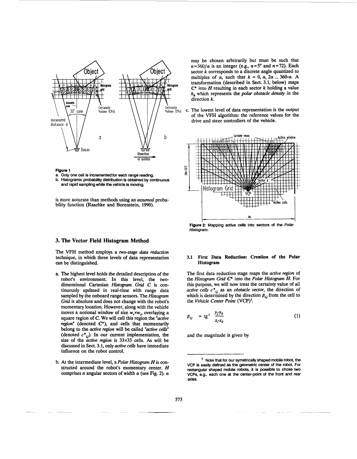

**Figure 1** 

**a. Only one cell** is **incremented for each range reading. b. Histogramic probability distribution is obtained by continuous and rapid sampling while the vehicle is moving.** 

is more accurate than methods using an *assumed* probability function (Raschke and Borenstein, 1990).

#### **3. The Vector Field Histogram Method**

The VFH method employs a *two-stage data reduction*  technique, in which three levels of data representation *can* be distinguished.

- *a.* The highest level holds the detailed description of the robot's environment. In this level, the twodimensional Cartesian *Histogram Grid C* is continuously updated in real-time with range data sampled by the onboard range sensors. The *Histogram Grid* is absolute and does not change with the robot's momentary location. However, along with the vehicle moves a notional window of size  $w_s \times w_s$ , overlaying a square region of **C.** We **will call** this region the *"active region"* (denoted *C\*),* and cells that momentarily belong to the *active region* will be called *"active cells"*  (denoted  $c^*_{ij}$ ). In our current implementation, the size of the *active region* is *33x33* cells. **As** will be discussed in Sect. *3.1,* only *active cells* have immediate influence on the robot control.
- b. At the intermediate level, a *Polar Histogram* His constructed around the robot's momentary center. *H*  comprises *n* angular sectors of width  $\alpha$  (see Fig. 2).  $\alpha$

may be chosen arbitrarily but must be such that  $n=360/\alpha$  is an integer (e.g.,  $\alpha=5^\circ$  and  $n=72$ ). Each sector *k* corresponds to a discrete angle quantized to multiples of  $\alpha$ , such that  $k = 0$ ,  $\alpha$ ,  $2\alpha$  ... 360- $\alpha$ . A transformation (described in Sect. *3.1,* below) maps  $C^*$  into  $H$  resulting in each sector  $k$  holding a value *h*, which represents the *polar obstacle density* in the direction  $k$ .

c. The lowest level of data representation is the output of the VFH algorithm: the reference values for the drive and steer controllers of the vehicle.



**Flgure2: Mapping active cells into** sectors **of the** *Polar Histogram.* 

#### **3.1 First Data Reduction: Creation of the Polar Histogram**

The first data reduction stage maps the *active region* of the *Histogram Grid* **C\*** into the *Polar Histogram* H. For this purpose, we will now treat the certainty value of all *active cells*  $c^*_{ij}$  as an *obstacle vector*, the direction of which is determined by the direction  $\beta_{ij}$  from the cell to<br>the *Vehicle Center Point* (VCP)<sup>1</sup>.<br> $\beta_{ij} = \text{tg}^1$   $\frac{y_j y_0}{x_i x_0}$  (1) the *Vehicle Center Point* **(VCP)'.** 

$$
\beta_{ij} = \text{tg}^1 \frac{y_j y_0}{x_i x_0} \tag{1}
$$

and the magnitude is given by

<sup>&#</sup>x27; **Note that for our symetrically shaped mobile robot, the VCP** is **easily defined as the geometric center of the robot. For rectangular shaped mobile robots,** it is **possible to chose two VCPs, e.g., each one** *at* **the center-point of the front and rear axles.**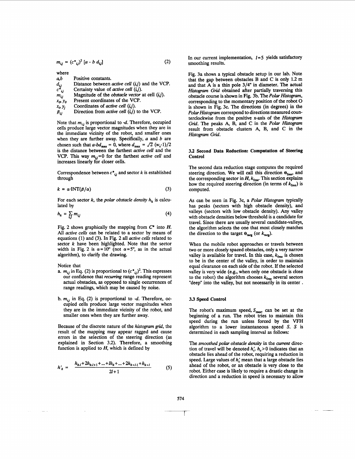$$
m_{ij} = (c^*_{ij})^2 [a \cdot b \, d_{ij}] \tag{2}
$$

where  $a,b$ Positive constants.

- *d,*  Distance between *active cell (ij)* and the VCP. Certainty value of *active cell* (*i,j*).
- *c\*,*  Magnitude of the *obstacle vector* at cell *((j).*
- $m_{ij}$ Present coordinates of the VCP.
- *x,,, yo*  Coordinates of *active cell (tj).*
- *Xi, Yj*
- $\beta_{ij}$ Direction from *active cell* (*i,j*) to the VCP.

Note that  $m_{i,j}$  is proportional to -d. Therefore, occupied cells produce large vector magnitudes when they are in the immediate vicinity of the robot, and smaller ones when they are further away. Specifically, a and *b* are chosen such that  $a-bd_{\text{max}} = 0$ , where  $d_{\text{max}} = \sqrt{2} (w_s - 1)/2$ is the distance between the farthest *active cell* and the VCP. This way  $m_{ij}=0$  for the farthest *active cell* and increases linearly for closer cells.

Correspondence between  $c^*_{i,j}$  and sector *k* is established through

$$
k = \alpha \cdot \text{INT}(\beta/\alpha) \tag{3}
$$

For each sector *k*, the *polar obstacle density*  $h_k$  is calculated by

$$
h_k = \sum_{i,j} m_{ij} \tag{4}
$$

Fig. 2 shows graphically the mapping from **C\*** into *H.*  All *active cells* can be related to a sector by means of equations (1) and (3). In Fig. 2 all *active cells* related to sector *k* have been highlighted. Note that the sector width in Fig. 2 is  $\alpha = 10^{\circ}$  (not  $\alpha = 5^{\circ}$ , as in the actual algorithm), to clarify the drawing.

Notice that

- **a.**  $m_{ij}$  in Eq. (2) is proportional to  $(c^*_{ij})^2$ . This expresses our confidence that *recurring* range reading represent actual obstacles, **as** opposed to single occurrences of range readings, which may be caused by noise.
- b.  $m_{ij}$  in Eq. (2) is proportional to  $-d$ . Therefore, occupied cells produce large vector magnitudes when they are in the immediate vicinity of the robot, and smaller ones when they are further away.

Because of the discrete nature of the *histogram* grid, the result of the mapping may appear ragged and cause errors in the selection of the steering direction **(as**  explained in Section 3.2). Therefore, a smoothing function is applied to  $H$ , which is defined by

$$
h'_{k} = \frac{h_{k,l} + 2h_{k,l+1} + \dots + lh_{k} + \dots + 2h_{k+l+1} + h_{k+l}}{2l+1} \tag{5}
$$

In our current implementation, *1=5* yields satisfactory smoothing results.

Fig. 3a shows a typical obstacle setup in our lab. Note that the gap between obstacles B and C is only 1.2 m and that A is a thin pole **3/4"** in diameter. The actual *Histogram Grid* obtained after partially traversing this obstacle course is shown in Fig. 3b. The *Polar Histogram,*  corresponding to the momentary position of the robot 0 is shown in Fig. 3c. The directions (in degrees) in the *Polar Hirtogram* correspond to directions measured counterclockwise from the positive **x-axis** of the *Histogram Grid.* The peaks **A,** B, and C in the *Polar Histogram*  result from obstacle clusters **A,** B, and C in the *Histogram Grid.* 

# **3.2 Second Data Reduction: Computation of Steering Control**

The second data reduction stage computes the required steering direction. We will call this direction  $\theta_{free}$  and the corresponding sector in  $H$ ,  $k_{\text{free}}$ . This section explains how the required steering direction (in terms of  $k_{\text{free}}$ ) is computed.

As can be seen in Fig. 3c, a *Polar Histogram* typically has peaks (sectors with high obstacle density), and valleys (sectors with low obstacle density). Any valley with obstacle densities below threshold is a candidate for travel. Since there are usually several candidate-valleys, the algorithm selects the one that most closely matches the direction to the target  $\Theta_{\text{targ}}$  (or  $k_{\text{targ}}$ ).

When the mobile robot approaches or travels between two or more closely spaced obstacles, only a very narrow valley is available for travel. In this case,  $k_{\text{free}}$  is chosen to be in the center of the valley, in order to maintain equal clearance on each side of the robot. If the selected valley is very wide (e.g., when only one obstacle is close to the robot) the algorithm chooses  $k_{\text{free}}$  several sectors "deep" into the valley, but not necessarily in its center .

#### **3.3 Speed Control**

The robot's maximum speed,  $S_{\text{max}}$  can be set at the beginning of a run. The robot tries to maintain this speed during the run unless forced by the **VFH**  algorithm to a lower instantaneous speed **S. S** is determined in each sampling interval **as** follows:

The *smoothed polar obstacle density* in the *current* direction of travel will be denoted  $h'_n$ ,  $h_n > 0$  indicates that an obstacle lies ahead of the robot., requiring a reduction in speed. Large values of *h*<sup>2</sup> mean that a large obstacle lies ahead of the robot, or an obstacle is very close **to** the robot. Either case is likely to require a drastic change in direction and a reduction in speed is necessary to allow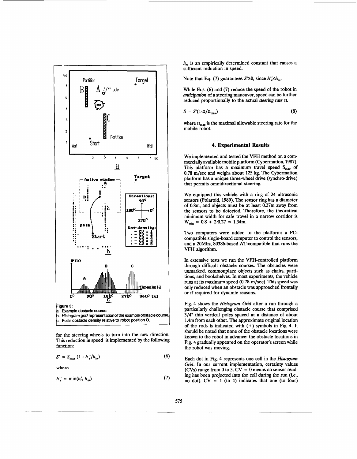<span id="page-4-0"></span>

for the steering wheels to turn into the new direction. **This** reduction in speed is implemented by the following function:

$$
S' = S_{\text{max}} \left( 1 - h''_c / h_m \right) \tag{6}
$$

where

$$
h''_c = \min(h'_c, h_m) \tag{7}
$$

 $h<sub>-</sub>$  is an empirically determined constant that causes a sufficient reduction in speed.

Note that Eq. (7) guarantees  $S \geq 0$ , since  $h''_c \leq h_m$ .

While Eqs. (6) and (7) reduce the speed of the robot in **anticipation** of a steering maneuver, speed *can* be further reduced proportionally to the actual *steering* rate n.

$$
S = S'(1-\Omega/\Omega_{\text{max}}) \tag{8}
$$

where  $\Omega_{\text{max}}$  is the maximal allowable steering rate for the mobile robot.

# **4. Experimental Results**

We implemented and tested the **VFH** method on a commercially available mobile platform (Cybermation, 1987). This platform has a maximum travel speed S<sub>max</sub> of 0.78 m/sec and weighs about 125 **kg.** The Cybermation platform has a unique three-wheel drive (synchro-drive) that permits omnidirectional steering.

We equipped this vehicle with a ring of 24 ultrasonic sensors (Polaroid, 1989). The sensor ring has a diameter of **0.8m,** and objects must be at least 0.27m away from the sensors to be detected. Therefore, the theoretical minimum width for safe travel in a narrow corridor is  $W_{\text{min}} = 0.8 + 2 \cdot 0.27 = 1.34 \text{m}.$ 

**Two** computers were added to the platform: a PCcompatible single-board computer to control the sensors, and a 20Mhz, 80386-based AT-compatible that runs the VFH algorithm.

In extensive tests we **run** the VFH-controlled platform through difficult obstacle courses. The obstacles were unmarked, commonplace objects such **as** chairs, partitions, and bookshelves. In most experiments, the vehicle **runs** at its maximum speed (0.78 m/sec). This speed was only reduced when an obstacle was approached frontally or if required for dynamic reasons.

Fig. 4 shows the *Hisfogrum* **Grid** after a **run** through a particularly challenging obstacle course that comprised **3/4"** thin vertical poles spaced at a distance of about 1.4m from each other. The approximate original location of the rods is indicated with (+) symbols in Fig. 4. It should be noted that none of the obstacle locations were **known** to the robot in advance: the obstacle locations in Fig. 4 gradually appeared on the operator's screen while the robot was moving.

Each dot in Fig. **4** represents one cell in the *Hirrogram Grid.* In our current implementation, certainty values (CVs) range from 0 to *5.* CV = 0 means no sensor reading has been projected into the cell during the run (i.e., no dot).  $CV = 1$  (to 4) indicates that one (to four)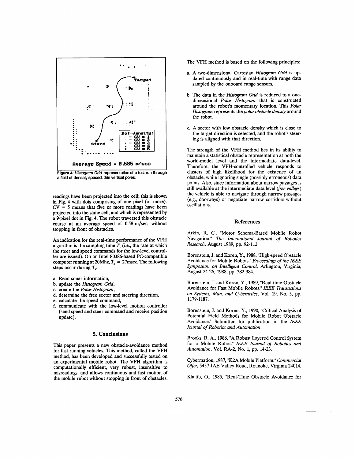

**Figure 4: Histogram Grid representation of a test run through a field of densely spaced, thin** vertical **poles.** 

readings have been projected into the cell; this is shown in [Fig. 4](#page-4-0) with dots comprising of one pixel (or more).  $CV = 5$  means that five or more readings have been projected into the same cell, and which is represented by a 9-pixel dot in [Fig. 4.](#page-4-0) The robot traversed this obstacle course at an average speed of 0.58 m/sec, without stopping in front of obstacles.

*An* indication for the real-time performance of the VFH algorithm is the sampling time  $T<sub>s</sub>$  (i.e., the rate at which the steer and speed commands for the low-level controller are issued). On an Intel 80386-based PC-compatible computer running at 20Mhz,  $T_s = 27$ msec. The following steps occur during *T,:* 

- a. Read sonar information,
- b. update the *Histogram* **Grid,**
- c. create the *Polar Histogram,*
- d. determine the free sector and steering direction,
- e. calculate the speed command,
- communicate with the low-level motion controller (send speed and steer command and receive position update).

# **5. Conclusions**

This paper presents a new obstacle-avoidance method for fast-running vehicles. This method, called the VFH method, has been developed and successfully tested on an experimental mobile robot. The VFH algorithm is computationally efficient, very robust, insensitive to misreadings, and allows continuous and fast motion of the mobile robot without stopping in front of obstacles.

The VFH method is based on the following principles:

- a. A two-dimensional Cartesian *Histogram* **Grid** is updated continuously and in real-time with range data sampled by the onboard range sensors.
- b. The data in the *Histogram Grid* is reduced to a onedimensional *Polar Histogram* that is constructed around the robot's momentary location. This *Polar Histogram* represents the *polar obstacle density* around the robot.
- c. A sector with low obstacle density which is close to the target direction is selected, and the robot's steering is aligned with that direction.

The strength of the VFH method lies in its ability to maintain a statistical obstacle representation at both the world-model level and the intermediate data-level. Therefore, the VFH-controlled vehicle responds to clusters of high likelihood for the existence of an obstacle, while ignoring single (possibly erroneous) data points. Also, since information about narrow passages is still available at the intermediate data level *(free valleys)*  the vehicle is able to navigate through narrow passages (e.g., doorways) or negotiate narrow corridors without oscillations.

#### **References**

Arkin, R. C., "Motor Schema-Based Mobile Robot Navigation." *The Intemational Joumal* of *Robotics Research,* August 1989, pp. 92-112.

Borenstein, J. and Koren, Y., 1988, "High-speed Obstacle Avoidance for Mobile Robots." *Proceedings* of *the IEEE Symposium on Intelligent Control,* Arlington, Virginia, August 24-26, 1988, pp. 382-384.

Borenstein, J. and Koren, Y., 1989, "Real-time Obstacle Avoidance for Fast Mobile Robots." *IEEE Transactions on Systems,* Man, and *Cybemetics,* Vol. 19, No. 5, pp. 1179-1187.

Borenstein, J. and Koren, Y., 1990, "Critical Analysis of Potential Field Methods for Mobile Robot Obstacle Avoidance." Submitted for publication in the *IEEE Joumal* of *Robotics and Automation* 

Brooks, R. **A,** 1986, "A Robust Layered Control System for a Mobile Robot." *IEEE Joumal* of *Robotics and Automation,* Vol. RA-2, No. 1, pp. 14-23.

Cybermation, 1987, "K2A Mobile Platform." *Commercial Offer,* 5457 **JAE** Valley Road, Roanoke, Virginia 24014.

Khatib, O., 1985, "Real-Time Obstacle Avoidance for